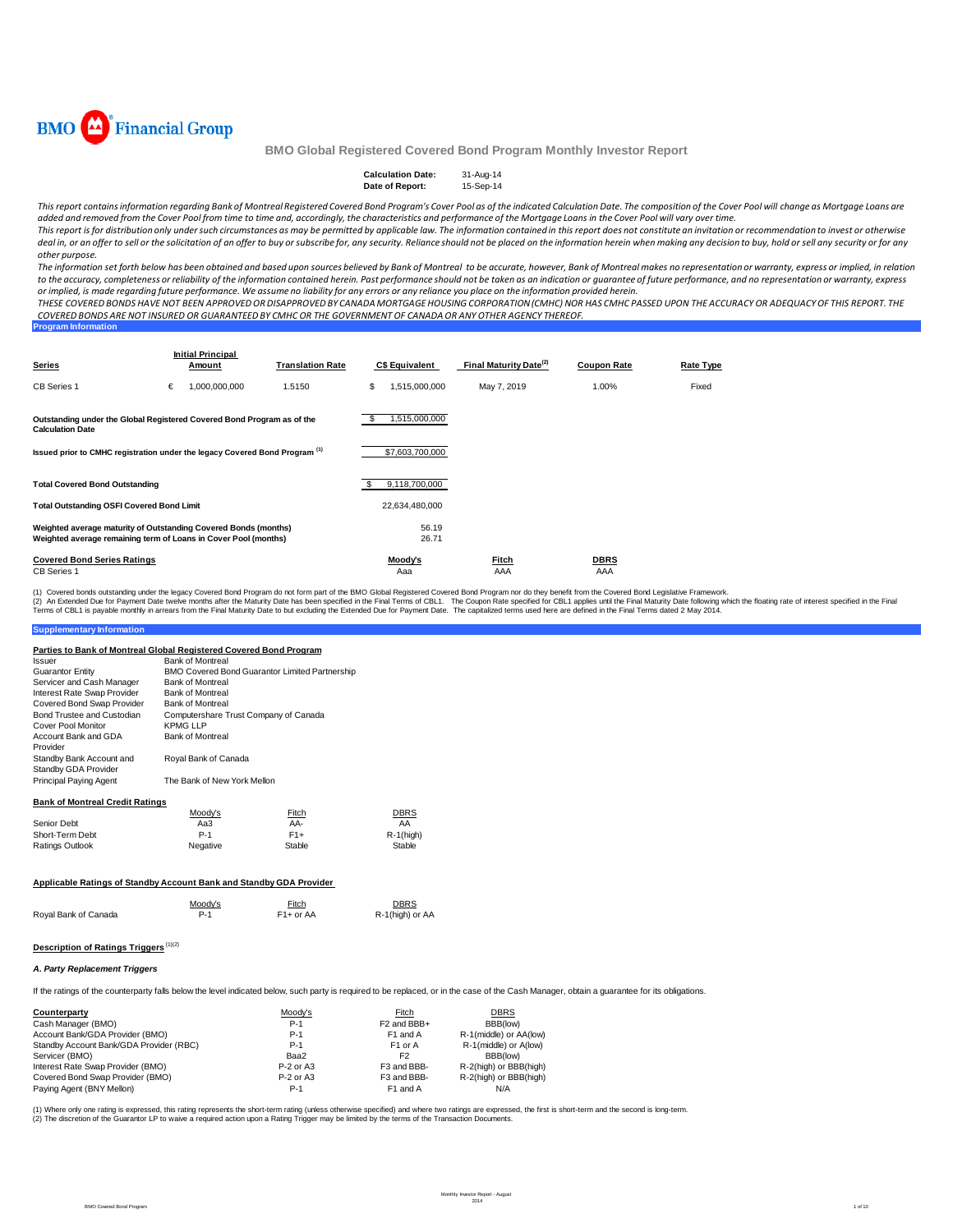

| <b>Calculation Date:</b> | 31-Aug-14 |
|--------------------------|-----------|
| Date of Report:          | 15-Sep-14 |

This report contains information regarding Bank of Montreal Registered Covered Bond Program's Cover Pool as of the indicated Calculation Date. The composition of the Cover Pool will change as Mortgage Loans are added and removed from the Cover Pool from time to time and, accordingly, the characteristics and performance of the Mortgage Loans in the Cover Pool will vary over time. This report is for distribution only under such circumstances as may be permitted by applicable law. The information contained in this report does not constitute an invitation or recommendation to invest or otherwise

deal in, or an offer to sell or the solicitation of an offer to buy or subscribe for, any security. Reliance should not be placed on the information herein when making any decision to buy, hold or sell any security or for *other purpose.*

The information set forth below has been obtained and based upon sources believed by Bank of Montreal to be accurate, however, Bank of Montreal makes no representation or warranty, express or implied, in relation to the accuracy, completeness or reliability of the information contained herein. Past performance should not be taken as an indication or guarantee of future performance, and no representation or warranty, express or implied, is made regarding future performance. We assume no liability for any errors or any reliance you place on the information provided herein.

THESE COVERED BONDS HAVE NOT BEEN APPROVED OR DISAPPROVED BY CANADA MORTGAGE HOUSING CORPORATION (CMHC) NOR HAS CMHC PASSED UPON THE ACCURACY OR ADEQUACY OF THIS REPORT. THE COVERED BONDS ARE NOT INSURED OR GUARANTEED BY CMHC OR THE GOVERNMENT OF CANADA OR ANY OTHER AGENCY THEREOF.

| <b>Program Information</b> |  |  |  |
|----------------------------|--|--|--|
|                            |  |  |  |
|                            |  |  |  |

| <b>Series</b>                                                                                                                      |   | <b>Initial Principal</b><br>Amount | <b>Translation Rate</b> |    | <b>C\$ Equivalent</b> | Final Maturity Date <sup>(2)</sup> | <b>Coupon Rate</b> | Rate Type |
|------------------------------------------------------------------------------------------------------------------------------------|---|------------------------------------|-------------------------|----|-----------------------|------------------------------------|--------------------|-----------|
| CB Series 1                                                                                                                        | € | 1,000,000,000                      | 1.5150                  | \$ | .515.000.000          | May 7, 2019                        | 1.00%              | Fixed     |
| Outstanding under the Global Registered Covered Bond Program as of the<br><b>Calculation Date</b>                                  |   |                                    |                         | \$ | ,515,000,000          |                                    |                    |           |
| Issued prior to CMHC registration under the legacy Covered Bond Program <sup>(1)</sup>                                             |   |                                    |                         |    | \$7,603,700,000       |                                    |                    |           |
| <b>Total Covered Bond Outstanding</b>                                                                                              |   |                                    |                         | S  | 9,118,700,000         |                                    |                    |           |
| <b>Total Outstanding OSFI Covered Bond Limit</b>                                                                                   |   |                                    |                         |    | 22,634,480,000        |                                    |                    |           |
| Weighted average maturity of Outstanding Covered Bonds (months)<br>Weighted average remaining term of Loans in Cover Pool (months) |   |                                    |                         |    | 56.19<br>26.71        |                                    |                    |           |
| <b>Covered Bond Series Ratings</b><br><b>CB</b> Series 1                                                                           |   |                                    |                         |    | Moody's<br>Aaa        | <u>Fitch</u><br>AAA                | <b>DBRS</b><br>AAA |           |

(2) An Extended Due for Payment Date twelve months after the Maturity Date has been specified in the Final Terms of CBL1. The Coupon Rate specified for CBL1 applies until the Final Maturity Date to but excluding the Extend (1) Covered bonds outstanding under the legacy Covered Bond Program do not form part of the BMO Global Registered Covered Bond Program nor do they benefit from the Covered Bond Legislative Framework.

#### **Supplementary Information**

| Parties to Bank of Montreal Global Registered Covered Bond Program |                                                          |                                                       |              |
|--------------------------------------------------------------------|----------------------------------------------------------|-------------------------------------------------------|--------------|
| Issuer                                                             | <b>Bank of Montreal</b>                                  |                                                       |              |
| <b>Guarantor Entity</b>                                            |                                                          | <b>BMO Covered Bond Guarantor Limited Partnership</b> |              |
| Servicer and Cash Manager                                          | <b>Bank of Montreal</b>                                  |                                                       |              |
| Interest Rate Swap Provider                                        | <b>Bank of Montreal</b>                                  |                                                       |              |
| Covered Bond Swap Provider                                         | <b>Bank of Montreal</b>                                  |                                                       |              |
| Bond Trustee and Custodian<br><b>Cover Pool Monitor</b>            | Computershare Trust Company of Canada<br><b>KPMG LLP</b> |                                                       |              |
| Account Bank and GDA<br>Provider                                   | <b>Bank of Montreal</b>                                  |                                                       |              |
| Standby Bank Account and<br>Standby GDA Provider                   | Royal Bank of Canada                                     |                                                       |              |
| <b>Principal Paying Agent</b>                                      | The Bank of New York Mellon                              |                                                       |              |
| <b>Bank of Montreal Credit Ratings</b>                             |                                                          |                                                       |              |
|                                                                    | Moody's                                                  | Fitch                                                 | DBRS         |
| Senior Debt                                                        | Aa3                                                      | AA-                                                   | AA           |
| Short-Term Debt                                                    | $P-1$                                                    | $F1+$                                                 | $R-1$ (high) |
| <b>Ratings Outlook</b>                                             | Negative                                                 | Stable                                                | Stable       |

## **Applicable Ratings of Standby Account Bank and Standby GDA Provider**

|                      | Moodv's | Fitch     | <b>DBRS</b>    |
|----------------------|---------|-----------|----------------|
| Royal Bank of Canada |         | F1+ or AA | $R-1$ (high) o |

R-1(high) or AA

#### **Description of Ratings Triggers** (1)(2)

#### *A. Party Replacement Triggers*

If the ratings of the counterparty falls below the level indicated below, such party is required to be replaced, or in the case of the Cash Manager, obtain a guarantee for its obligations.

| Counterparty                            | Moody's   | Fitch                   | <b>DBRS</b>            |
|-----------------------------------------|-----------|-------------------------|------------------------|
| Cash Manager (BMO)                      | $P-1$     | F <sub>2</sub> and BBB+ | BBB(low)               |
| Account Bank/GDA Provider (BMO)         | $P-1$     | F <sub>1</sub> and A    | R-1(middle) or AA(low) |
| Standby Account Bank/GDA Provider (RBC) | $P-1$     | F <sub>1</sub> or A     | R-1(middle) or A(low)  |
| Servicer (BMO)                          | Baa2      | F <sub>2</sub>          | BBB(low)               |
| Interest Rate Swap Provider (BMO)       | P-2 or A3 | F3 and BBB-             | R-2(high) or BBB(high) |
| Covered Bond Swap Provider (BMO)        | P-2 or A3 | F3 and BBB-             | R-2(high) or BBB(high) |
| Paying Agent (BNY Mellon)               | $P-1$     | F1 and A                | N/A                    |

(1) Where only one rating is expressed, this rating represents the short-term rating (unless otherwise specified) and where two ratings are expressed, the first is short-term and the second is long-term.<br>(2) The discretion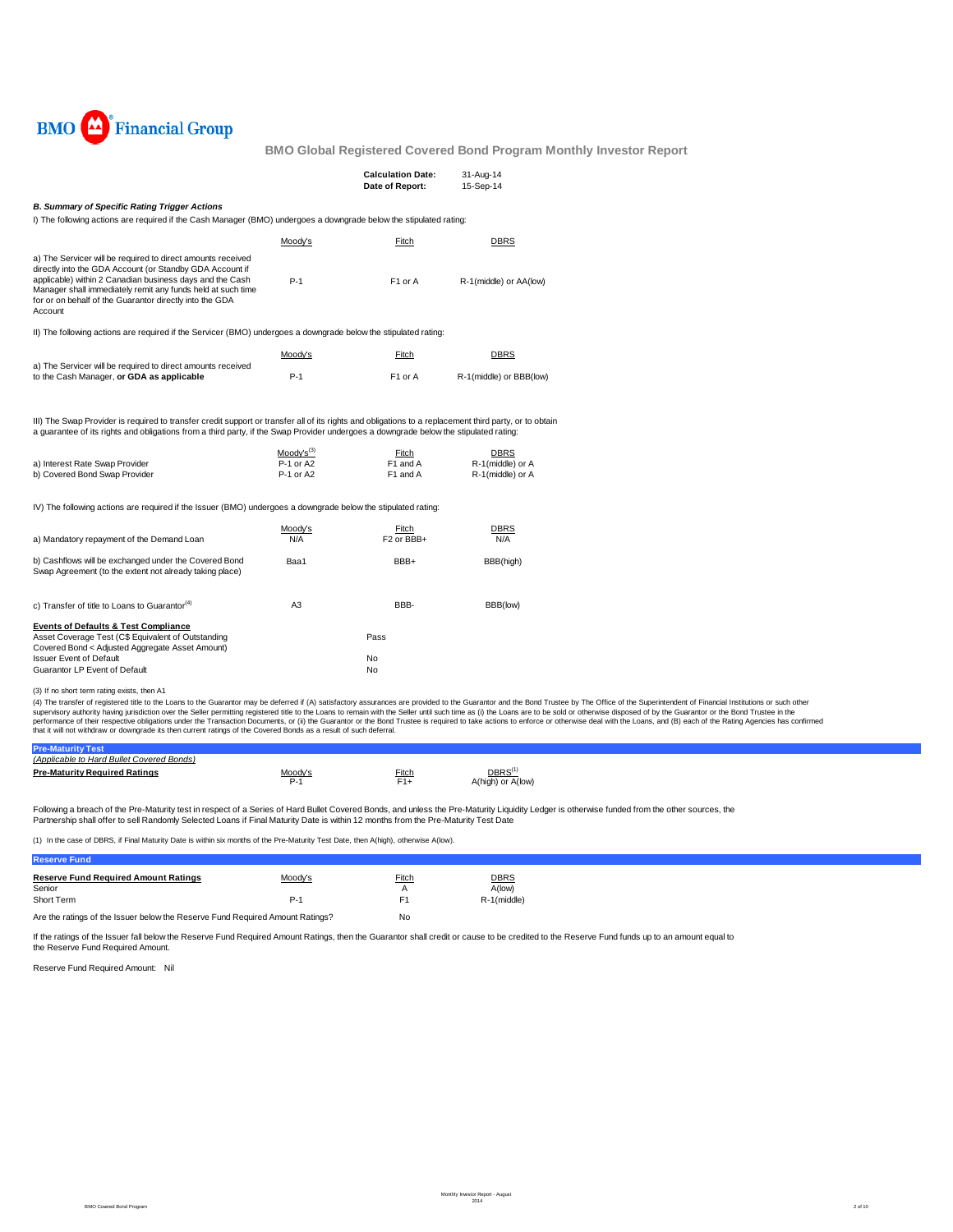

|                                                                                                                                                                                                                                                                                                                                                                    |                                          | <b>Calculation Date:</b><br>Date of Report: | 31-Aug-14<br>15-Sep-14                              |
|--------------------------------------------------------------------------------------------------------------------------------------------------------------------------------------------------------------------------------------------------------------------------------------------------------------------------------------------------------------------|------------------------------------------|---------------------------------------------|-----------------------------------------------------|
| <b>B. Summary of Specific Rating Trigger Actions</b>                                                                                                                                                                                                                                                                                                               |                                          |                                             |                                                     |
| I) The following actions are required if the Cash Manager (BMO) undergoes a downgrade below the stipulated rating:                                                                                                                                                                                                                                                 |                                          |                                             |                                                     |
|                                                                                                                                                                                                                                                                                                                                                                    | Moody's                                  | Fitch                                       | <b>DBRS</b>                                         |
| a) The Servicer will be required to direct amounts received<br>directly into the GDA Account (or Standby GDA Account if<br>applicable) within 2 Canadian business days and the Cash<br>Manager shall immediately remit any funds held at such time<br>for or on behalf of the Guarantor directly into the GDA<br>Account                                           | $P-1$                                    | F1 or A                                     | R-1(middle) or AA(low)                              |
| II) The following actions are required if the Servicer (BMO) undergoes a downgrade below the stipulated rating:                                                                                                                                                                                                                                                    |                                          |                                             |                                                     |
| a) The Servicer will be required to direct amounts received                                                                                                                                                                                                                                                                                                        | Moody's                                  | Fitch                                       | <b>DBRS</b>                                         |
| to the Cash Manager, or GDA as applicable                                                                                                                                                                                                                                                                                                                          | $P-1$                                    | F1 or A                                     | R-1(middle) or BBB(low)                             |
| III) The Swap Provider is required to transfer credit support or transfer all of its rights and obligations to a replacement third party, or to obtain<br>a quarantee of its rights and obligations from a third party, if the Swap Provider undergoes a downgrade below the stipulated rating:<br>a) Interest Rate Swap Provider<br>b) Covered Bond Swap Provider | $Mody's^{(3)}$<br>P-1 or A2<br>P-1 or A2 | Fitch<br>F1 and A<br>F1 and A               | <b>DBRS</b><br>R-1(middle) or A<br>R-1(middle) or A |
| IV) The following actions are required if the Issuer (BMO) undergoes a downgrade below the stipulated rating:                                                                                                                                                                                                                                                      |                                          |                                             |                                                     |
| a) Mandatory repayment of the Demand Loan                                                                                                                                                                                                                                                                                                                          | Moody's<br>N/A                           | Fitch<br>F <sub>2</sub> or BB <sub>+</sub>  | <b>DBRS</b><br>N/A                                  |
| b) Cashflows will be exchanged under the Covered Bond<br>Swap Agreement (to the extent not already taking place)                                                                                                                                                                                                                                                   | Baa1                                     | BBB+                                        | BBB(high)                                           |
| c) Transfer of title to Loans to Guarantor <sup>(4)</sup>                                                                                                                                                                                                                                                                                                          | A <sub>3</sub>                           | BBB-                                        | BBB(low)                                            |
| <b>Events of Defaults &amp; Test Compliance</b><br>Asset Coverage Test (C\$ Equivalent of Outstanding<br>Covered Bond < Adjusted Aggregate Asset Amount)<br><b>Issuer Event of Default</b><br>Guarantor LP Event of Default                                                                                                                                        |                                          | Pass<br>No<br>No                            |                                                     |
| (3) If no chort torm rating oviete than A1                                                                                                                                                                                                                                                                                                                         |                                          |                                             |                                                     |

(3) If no short term rating exists, then A1<br>(4) The transfer of registered title to the Cuaractor asy the distense of the Guaractory assurances are provided to the Guarantor and the Bond Trustee by The Office of the Superi

| <b>Pre-Maturity</b>                       |         |       |                   |
|-------------------------------------------|---------|-------|-------------------|
| (Applicable to Hard Bullet Covered Bonds) |         |       |                   |
| <b>Pre-Maturity Required Ratings</b>      | Moody's | Fitch |                   |
|                                           |         |       | A(high) or A(low) |

Following a breach of the Pre-Maturity test in respect of a Series of Hard Bullet Covered Bonds, and unless the Pre-Maturity Liquidity Ledger is otherwise funded from the other sources, the Partnership shall offer to sell Randomly Selected Loans if Final Maturity Date is within 12 months from the Pre-Maturity Test Date

(1) In the case of DBRS, if Final Maturity Date is within six months of the Pre-Maturity Test Date, then A(high), otherwise A(low).

| <b>Reserve Fund</b>                                                           |         |                |             |
|-------------------------------------------------------------------------------|---------|----------------|-------------|
| <b>Reserve Fund Required Amount Ratings</b>                                   | Moody's | Fitch          | <b>DBRS</b> |
| Senior                                                                        |         |                | A(low)      |
| Short Term                                                                    | $P-1$   | F <sub>1</sub> | R-1(middle) |
| Are the ratings of the Issuer below the Reserve Fund Required Amount Ratings? | No      |                |             |

If the ratings of the Issuer fall below the Reserve Fund Required Amount Ratings, then the Guarantor shall credit or cause to be credited to the Reserve Fund funds up to an amount equal to the Reserve Fund Required Amount.

Reserve Fund Required Amount: Nil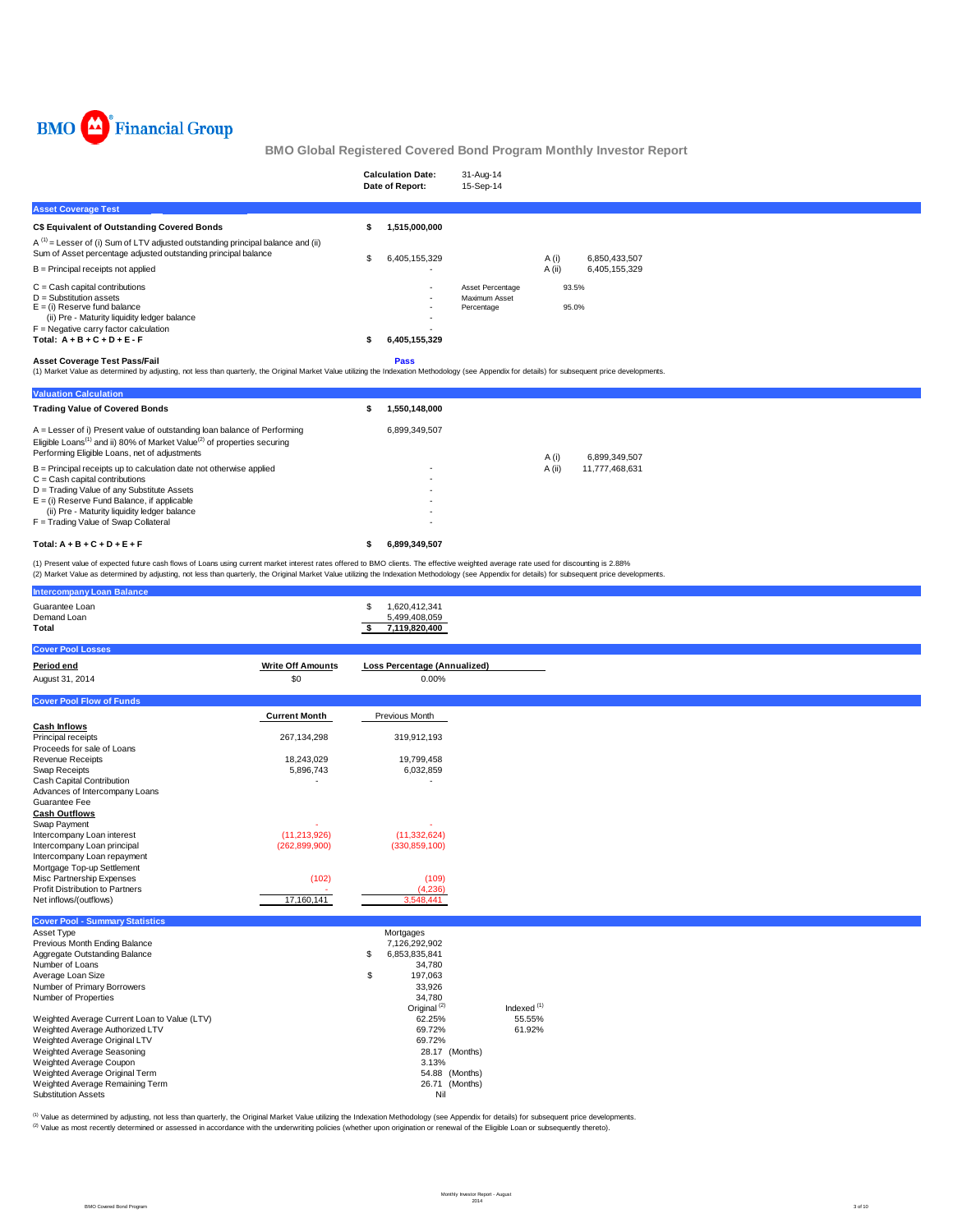

| BMO Global Registered Covered Bond Program Monthly Investor Report                                                                                                                                                                                                                                                                                                                           |                                 |                                                             |                                                 |                          |  |
|----------------------------------------------------------------------------------------------------------------------------------------------------------------------------------------------------------------------------------------------------------------------------------------------------------------------------------------------------------------------------------------------|---------------------------------|-------------------------------------------------------------|-------------------------------------------------|--------------------------|--|
|                                                                                                                                                                                                                                                                                                                                                                                              |                                 | <b>Calculation Date:</b><br>Date of Report:                 | 31-Aug-14<br>15-Sep-14                          |                          |  |
| <b>Asset Coverage Test</b>                                                                                                                                                                                                                                                                                                                                                                   |                                 |                                                             |                                                 |                          |  |
| C\$ Equivalent of Outstanding Covered Bonds                                                                                                                                                                                                                                                                                                                                                  |                                 | 1,515,000,000<br>\$                                         |                                                 |                          |  |
| $A^{(1)}$ = Lesser of (i) Sum of LTV adjusted outstanding principal balance and (ii)<br>Sum of Asset percentage adjusted outstanding principal balance                                                                                                                                                                                                                                       |                                 | 6,405,155,329<br>\$                                         |                                                 | A(i)<br>6,850,433,507    |  |
| B = Principal receipts not applied                                                                                                                                                                                                                                                                                                                                                           |                                 |                                                             |                                                 | A (ii)<br>6,405,155,329  |  |
| $C =$ Cash capital contributions<br>$D =$ Substitution assets<br>$E =$ (i) Reserve fund balance<br>(ii) Pre - Maturity liquidity ledger balance<br>$F =$ Negative carry factor calculation<br>Total: $A + B + C + D + E - F$                                                                                                                                                                 |                                 | 6,405,155,329<br>\$                                         | Asset Percentage<br>Maximum Asset<br>Percentage | 93.5%<br>95.0%           |  |
| <b>Asset Coverage Test Pass/Fail</b><br>(1) Market Value as determined by adjusting, not less than quarterly, the Original Market Value utilizing the Indexation Methodology (see Appendix for details) for subsequent price developments.                                                                                                                                                   |                                 | Pass                                                        |                                                 |                          |  |
| <b>Valuation Calculation</b>                                                                                                                                                                                                                                                                                                                                                                 |                                 |                                                             |                                                 |                          |  |
| <b>Trading Value of Covered Bonds</b>                                                                                                                                                                                                                                                                                                                                                        |                                 | 1,550,148,000<br>\$                                         |                                                 |                          |  |
| A = Lesser of i) Present value of outstanding loan balance of Performing<br>Eligible Loans <sup>(1)</sup> and ii) 80% of Market Value <sup>(2)</sup> of properties securing<br>Performing Eligible Loans, net of adjustments                                                                                                                                                                 |                                 | 6,899,349,507                                               |                                                 | A(i)<br>6,899,349,507    |  |
| B = Principal receipts up to calculation date not otherwise applied<br>$C =$ Cash capital contributions<br>D = Trading Value of any Substitute Assets<br>$E =$ (i) Reserve Fund Balance, if applicable<br>(ii) Pre - Maturity liquidity ledger balance<br>F = Trading Value of Swap Collateral                                                                                               |                                 |                                                             |                                                 | A (ii)<br>11,777,468,631 |  |
| Total: $A + B + C + D + E + F$                                                                                                                                                                                                                                                                                                                                                               |                                 | 6,899,349,507<br>\$                                         |                                                 |                          |  |
| (1) Present value of expected future cash flows of Loans using current market interest rates offered to BMO clients. The effective weighted average rate used for discounting is 2.88%<br>(2) Market Value as determined by adjusting, not less than quarterly, the Original Market Value utilizing the Indexation Methodology (see Appendix for details) for subsequent price developments. |                                 |                                                             |                                                 |                          |  |
| <b>Intercompany Loan Balance</b>                                                                                                                                                                                                                                                                                                                                                             |                                 |                                                             |                                                 |                          |  |
| Guarantee Loan<br>Demand Loan<br>Total                                                                                                                                                                                                                                                                                                                                                       |                                 | \$<br>1,620,412,341<br>5,499,408,059<br>7,119,820,400<br>\$ |                                                 |                          |  |
| <b>Cover Pool Losses</b>                                                                                                                                                                                                                                                                                                                                                                     |                                 |                                                             |                                                 |                          |  |
| Period end<br>August 31, 2014                                                                                                                                                                                                                                                                                                                                                                | <b>Write Off Amounts</b><br>\$0 | Loss Percentage (Annualized)<br>0.00%                       |                                                 |                          |  |
| <b>Cover Pool Flow of Funds</b>                                                                                                                                                                                                                                                                                                                                                              |                                 |                                                             |                                                 |                          |  |
|                                                                                                                                                                                                                                                                                                                                                                                              | <b>Current Month</b>            | Previous Month                                              |                                                 |                          |  |
| <b>Cash Inflows</b><br>Principal receipts<br>Proceeds for sale of Loans                                                                                                                                                                                                                                                                                                                      | 267,134,298                     | 319,912,193                                                 |                                                 |                          |  |
| <b>Revenue Receipts</b><br>Swap Receipts<br>Cash Capital Contribution<br>Advances of Intercompany Loans<br>Guarantee Fee<br>Cash Outflow                                                                                                                                                                                                                                                     | 18,243,029<br>5,896,743         | 19,799,458<br>6,032,859                                     |                                                 |                          |  |

| <b>Cash Outflows</b>                   |                 |                 |
|----------------------------------------|-----------------|-----------------|
| Swap Payment                           | ۰               |                 |
| Intercompany Loan interest             | (11, 213, 926)  | (11,332,624)    |
| Intercompany Loan principal            | (262, 899, 900) | (330, 859, 100) |
| Intercompany Loan repayment            |                 |                 |
| Mortgage Top-up Settlement             |                 |                 |
| Misc Partnership Expenses              | (102)           | (109)           |
| <b>Profit Distribution to Partners</b> |                 | (4,236)         |
| Net inflows/(outflows)                 | 17.160.141      | 3.548.441       |
|                                        |                 |                 |

| <b>Cover Pool - Summary Statistics</b>       |                         |               |
|----------------------------------------------|-------------------------|---------------|
| Asset Type                                   | Mortgages               |               |
| Previous Month Ending Balance                | 7,126,292,902           |               |
| Aggregate Outstanding Balance                | \$<br>6,853,835,841     |               |
| Number of Loans                              | 34.780                  |               |
| Average Loan Size                            | \$<br>197.063           |               |
| Number of Primary Borrowers                  | 33.926                  |               |
| Number of Properties                         | 34.780                  |               |
|                                              | Original <sup>(2)</sup> | Indexed $(1)$ |
| Weighted Average Current Loan to Value (LTV) | 62.25%                  | 55.55%        |
| Weighted Average Authorized LTV              | 69.72%                  | 61.92%        |
| Weighted Average Original LTV                | 69.72%                  |               |
| Weighted Average Seasoning                   | 28.17 (Months)          |               |
| Weighted Average Coupon                      | 3.13%                   |               |
| Weighted Average Original Term               | 54.88 (Months)          |               |
| Weighted Average Remaining Term              | 26.71 (Months)          |               |
| <b>Substitution Assets</b>                   | Nil                     |               |

<sup>(1)</sup> Value as determined by adjusting, not less than quarterly, the Original Market Value utilizing the Indexation Methodology (see Appendix for details) for subsequent price developments.<br><sup>(2)</sup> Value as most recently det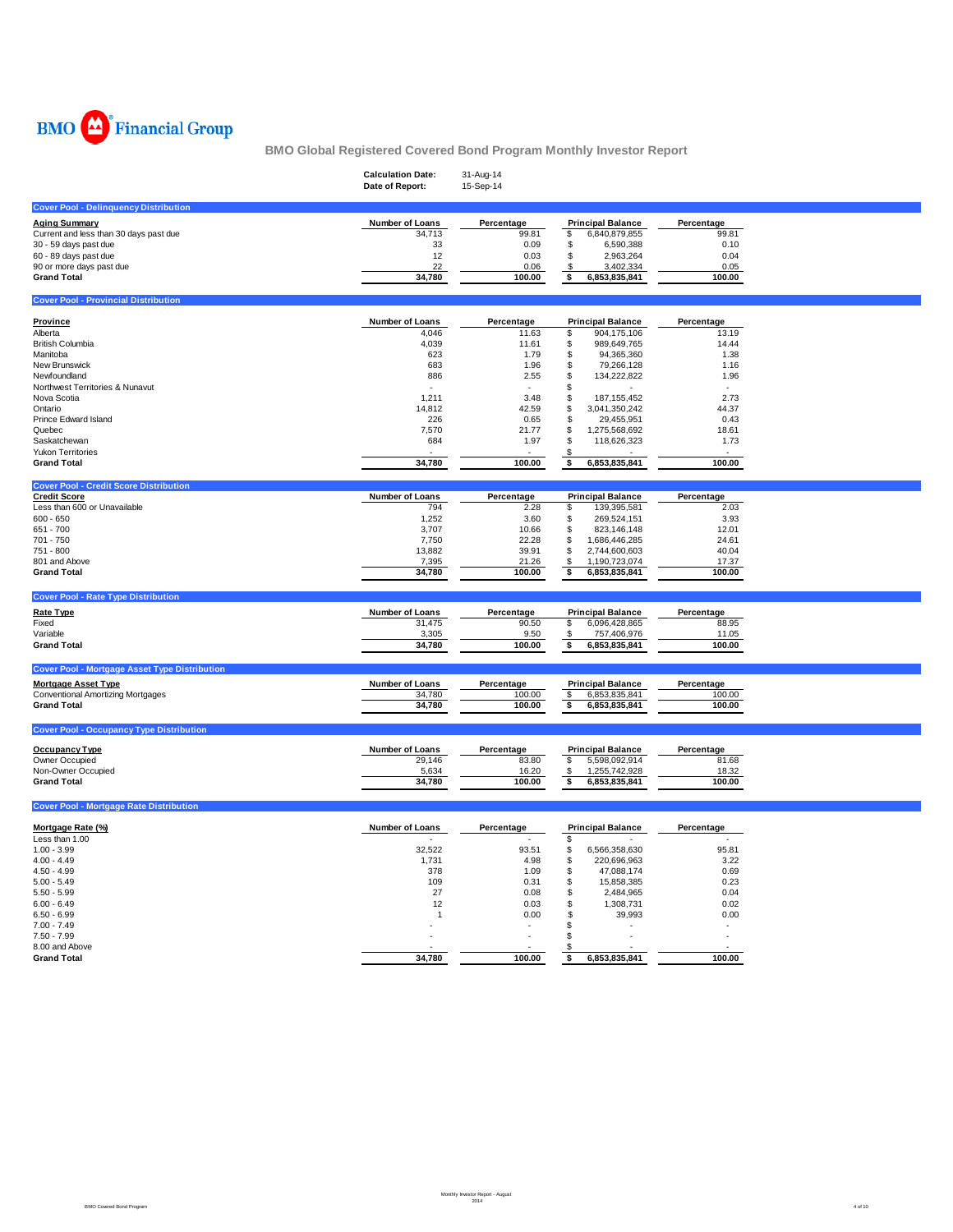

|                                                      | <b>Calculation Date:</b><br>Date of Report: | 31-Aug-14<br>15-Sep-14 |                                  |            |  |
|------------------------------------------------------|---------------------------------------------|------------------------|----------------------------------|------------|--|
| <b>Cover Pool - Delinquency Distribution</b>         |                                             |                        |                                  |            |  |
| <b>Aging Summary</b>                                 | Number of Loans                             | Percentage             | <b>Principal Balance</b>         | Percentage |  |
| Current and less than 30 days past due               | 34,713                                      | 99.81                  | \$<br>6,840,879,855              | 99.81      |  |
| 30 - 59 days past due                                | 33                                          | 0.09                   | $\sqrt{2}$<br>6,590,388          | 0.10       |  |
| 60 - 89 days past due                                | 12                                          | 0.03                   | \$<br>2,963,264                  | 0.04       |  |
|                                                      | 22                                          | 0.06                   | \$                               | 0.05       |  |
| 90 or more days past due<br><b>Grand Total</b>       | 34,780                                      | 100.00                 | 3,402,334<br>\$<br>6,853,835,841 | 100.00     |  |
|                                                      |                                             |                        |                                  |            |  |
| <b>Cover Pool - Provincial Distribution</b>          |                                             |                        |                                  |            |  |
| Province                                             | Number of Loans                             | Percentage             | <b>Principal Balance</b>         | Percentage |  |
| Alberta                                              | 4,046                                       | 11.63                  | \$<br>904,175,106                | 13.19      |  |
| <b>British Columbia</b>                              | 4,039                                       | 11.61                  | \$<br>989,649,765                | 14.44      |  |
| Manitoba                                             | 623                                         | 1.79                   | \$<br>94,365,360                 | 1.38       |  |
| New Brunswick                                        | 683                                         | 1.96                   | \$<br>79,266,128                 | 1.16       |  |
| Newfoundland                                         | 886                                         | 2.55                   | \$<br>134,222,822                | 1.96       |  |
| Northwest Territories & Nunavut                      | ÷                                           | $\sim$                 | \$                               |            |  |
| Nova Scotia                                          | 1,211                                       | 3.48                   | \$<br>187, 155, 452              | 2.73       |  |
| Ontario                                              | 14,812                                      | 42.59                  | \$<br>3,041,350,242              | 44.37      |  |
| Prince Edward Island                                 | 226                                         | 0.65                   | \$<br>29,455,951                 | 0.43       |  |
| Quebec                                               | 7,570                                       | 21.77                  | \$<br>1,275,568,692              | 18.61      |  |
| Saskatchewan                                         | 684                                         | 1.97                   | \$<br>118,626,323                | 1.73       |  |
| <b>Yukon Territories</b>                             |                                             |                        | \$                               |            |  |
| <b>Grand Total</b>                                   | 34,780                                      | 100.00                 | 6,853,835,841<br>\$              | 100.00     |  |
| <b>Cover Pool - Credit Score Distribution</b>        |                                             |                        |                                  |            |  |
| <b>Credit Score</b>                                  | Number of Loans                             | Percentage             | <b>Principal Balance</b>         | Percentage |  |
| Less than 600 or Unavailable                         | 794                                         | 2.28                   | 139,395,581<br>\$                | 2.03       |  |
| $600 - 650$                                          | 1,252                                       | 3.60                   | \$<br>269,524,151                | 3.93       |  |
| 651 - 700                                            | 3,707                                       | 10.66                  | \$<br>823,146,148                | 12.01      |  |
| 701 - 750                                            | 7,750                                       | 22.28                  | \$<br>1,686,446,285              | 24.61      |  |
| 751 - 800                                            | 13,882                                      | 39.91                  | \$<br>2,744,600,603              | 40.04      |  |
| 801 and Above                                        | 7,395                                       | 21.26                  | \$<br>1,190,723,074              | 17.37      |  |
| <b>Grand Total</b>                                   | 34,780                                      | 100.00                 | \$<br>6,853,835,841              | 100.00     |  |
| <b>Cover Pool - Rate Type Distribution</b>           |                                             |                        |                                  |            |  |
| Rate Type                                            | Number of Loans                             | Percentage             | <b>Principal Balance</b>         | Percentage |  |
| Fixed                                                | 31,475                                      | 90.50                  | 6,096,428,865<br>\$              | 88.95      |  |
| Variable                                             | 3,305                                       | 9.50                   | \$<br>757,406,976                | 11.05      |  |
| <b>Grand Total</b>                                   | 34,780                                      | 100.00                 | \$<br>6,853,835,841              | 100.00     |  |
|                                                      |                                             |                        |                                  |            |  |
| <b>Cover Pool - Mortgage Asset Type Distribution</b> |                                             |                        |                                  |            |  |
| <b>Mortgage Asset Type</b>                           | <b>Number of Loans</b>                      | Percentage             | <b>Principal Balance</b>         | Percentage |  |
| <b>Conventional Amortizing Mortgages</b>             | 34,780                                      | 100.00                 | \$<br>6,853,835,841              | 100.00     |  |
| <b>Grand Total</b>                                   | 34,780                                      | 100.00                 | \$<br>6,853,835,841              | 100.00     |  |
| <b>Cover Pool - Occupancy Type Distribution</b>      |                                             |                        |                                  |            |  |
| Occupancy Type                                       | Number of Loans                             | Percentage             | <b>Principal Balance</b>         | Percentage |  |
| Owner Occupied                                       | 29,146                                      | 83.80                  | 5,598,092,914<br>\$              | 81.68      |  |
| Non-Owner Occupied                                   | 5,634                                       | 16.20                  | 1,255,742,928<br>\$              | 18.32      |  |
| <b>Grand Total</b>                                   | 34,780                                      | 100.00                 | \$<br>6,853,835,841              | 100.00     |  |
| <b>Cover Pool - Mortgage Rate Distribution</b>       |                                             |                        |                                  |            |  |
| Mortgage Rate (%)                                    | Number of Loans                             | Percentage             | <b>Principal Balance</b>         | Percentage |  |
| Less than 1.00                                       |                                             |                        | \$                               |            |  |
| $1.00 - 3.99$                                        | 32,522                                      | 93.51                  | \$<br>6,566,358,630              | 95.81      |  |
| $4.00 - 4.49$                                        | 1,731                                       | 4.98                   | \$<br>220,696,963                | 3.22       |  |
| $4.50 - 4.99$                                        | 378                                         | 1.09                   | \$<br>47,088,174                 | 0.69       |  |
| $5.00 - 5.49$                                        | 109                                         | 0.31                   | \$<br>15,858,385                 | 0.23       |  |
| $5.50 - 5.99$                                        | 27                                          | 0.08                   | \$<br>2,484,965                  | 0.04       |  |
| $6.00 - 6.49$                                        | 12                                          | 0.03                   | \$<br>1,308,731                  | 0.02       |  |
| $6.50 - 6.99$                                        | $\overline{1}$                              |                        | \$                               |            |  |
| $7.00 - 7.49$                                        |                                             | 0.00<br>ä,             | 39,993<br>\$                     | 0.00       |  |
| $7.50 - 7.99$                                        |                                             |                        | \$                               | ÷.         |  |
| 8.00 and Above                                       |                                             |                        | \$                               |            |  |
| <b>Grand Total</b>                                   | 34.780                                      | 100.00                 | 6,853,835,841<br>\$              | 100.00     |  |
|                                                      |                                             |                        |                                  |            |  |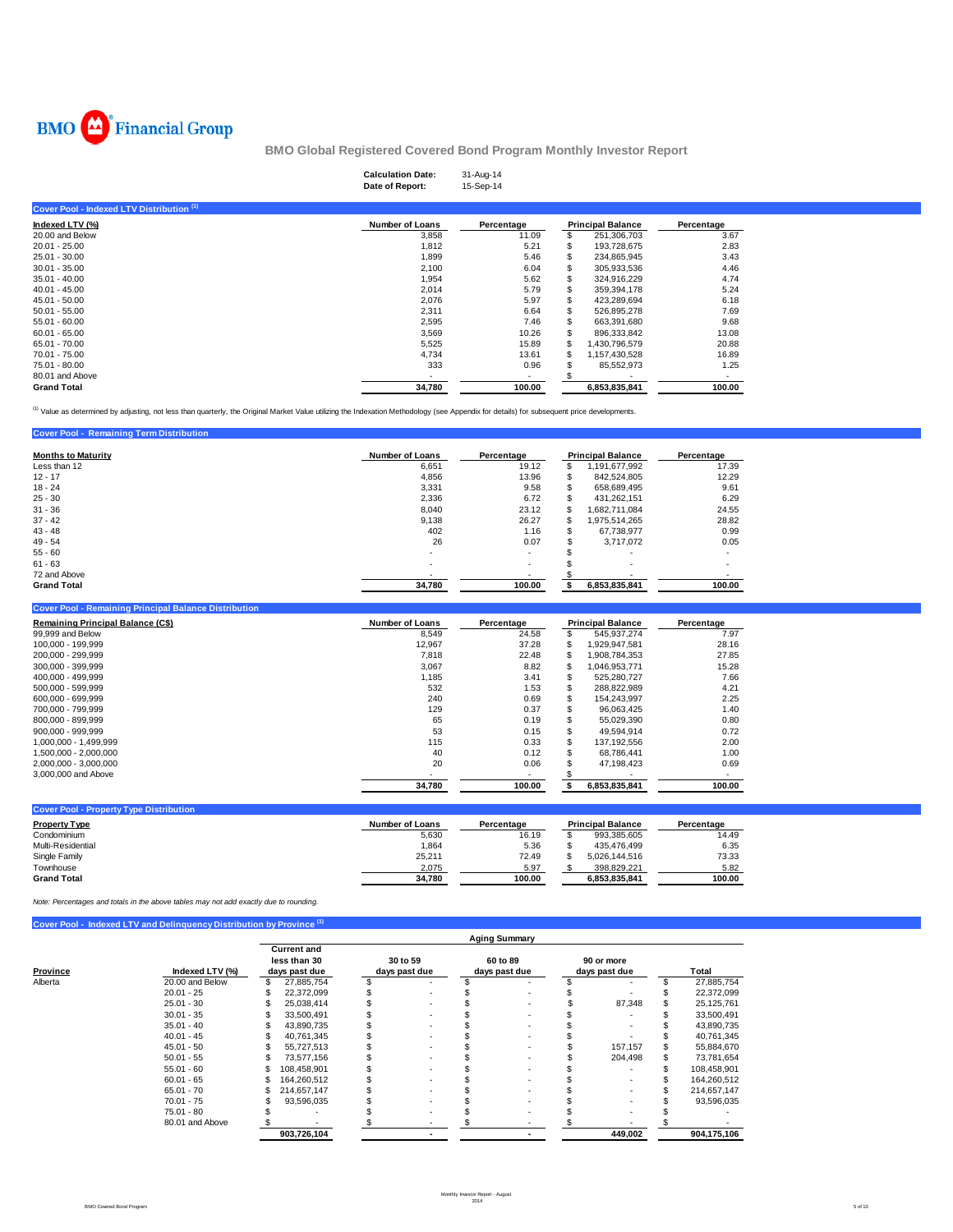

|                                           | <b>Calculation Date:</b><br>31-Aug-14<br>Date of Report:<br>15-Sep-14 |            |                          |            |
|-------------------------------------------|-----------------------------------------------------------------------|------------|--------------------------|------------|
| Cover Pool - Indexed LTV Distribution (1) |                                                                       |            |                          |            |
| Indexed LTV (%)                           | <b>Number of Loans</b>                                                | Percentage | <b>Principal Balance</b> | Percentage |
| 20.00 and Below                           | 3,858                                                                 | 11.09      | 251,306,703              | 3.67       |
| $20.01 - 25.00$                           | 1.812                                                                 | 5.21       | 193.728.675              | 2.83       |
| $25.01 - 30.00$                           | 1,899                                                                 | 5.46       | 234,865,945              | 3.43       |
| $30.01 - 35.00$                           | 2,100                                                                 | 6.04       | 305,933,536              | 4.46       |
| $35.01 - 40.00$                           | 1,954                                                                 | 5.62       | 324.916.229              | 4.74       |
| $40.01 - 45.00$                           | 2,014                                                                 | 5.79       | 359,394,178              | 5.24       |
| $45.01 - 50.00$                           | 2,076                                                                 | 5.97       | 423,289,694              | 6.18       |
| $50.01 - 55.00$                           | 2,311                                                                 | 6.64       | 526.895.278              | 7.69       |
| 55.01 - 60.00                             | 2,595                                                                 | 7.46       | 663,391,680              | 9.68       |
| $60.01 - 65.00$                           | 3,569                                                                 | 10.26      | 896,333,842              | 13.08      |
| 65.01 - 70.00                             | 5,525                                                                 | 15.89      | 1.430.796.579            | 20.88      |
| 70.01 - 75.00                             | 4,734                                                                 | 13.61      | 1,157,430,528            | 16.89      |
| 75.01 - 80.00                             | 333                                                                   | 0.96       | 85,552,973               | 1.25       |
| 80.01 and Above                           |                                                                       |            |                          |            |
| <b>Grand Total</b>                        | 34,780                                                                | 100.00     | 6,853,835,841            | 100.00     |

<sup>(1)</sup> Value as determined by adjusting, not less than quarterly, the Original Market Value utilizing the Indexation Methodology (see Appendix for details) for subsequent price developments.

| <b>Cover Pool - Remaining Term Distribution</b> |                          |            |    |                          |            |
|-------------------------------------------------|--------------------------|------------|----|--------------------------|------------|
| <b>Months to Maturity</b>                       | <b>Number of Loans</b>   | Percentage |    | <b>Principal Balance</b> | Percentage |
| Less than 12                                    | 6.651                    | 19.12      | \$ | 1,191,677,992            | 17.39      |
| $12 - 17$                                       | 4,856                    | 13.96      | S  | 842.524.805              | 12.29      |
| $18 - 24$                                       | 3.331                    | 9.58       | S  | 658.689.495              | 9.61       |
| $25 - 30$                                       | 2,336                    | 6.72       | S  | 431,262,151              | 6.29       |
| $31 - 36$                                       | 8,040                    | 23.12      | \$ | 1.682.711.084            | 24.55      |
| $37 - 42$                                       | 9,138                    | 26.27      | \$ | 1.975.514.265            | 28.82      |
| $43 - 48$                                       | 402                      | 1.16       | S  | 67.738.977               | 0.99       |
| $49 - 54$                                       | 26                       | 0.07       | \$ | 3.717.072                | 0.05       |
| $55 - 60$                                       | $\sim$                   | ٠          |    | ٠.                       |            |
| $61 - 63$                                       | $\overline{\phantom{a}}$ | ۰.         |    | ٠.                       |            |
| 72 and Above                                    |                          |            |    |                          |            |
| <b>Grand Total</b>                              | 34,780                   | 100.00     |    | 6.853.835.841            | 100.00     |

**Cover Pool - Remaining Principal Balance Distrib** 

| Remaining Principal Balance (C\$) | <b>Number of Loans</b> | Percentage |               |               | Percentage |
|-----------------------------------|------------------------|------------|---------------|---------------|------------|
| 99,999 and Below                  | 8,549                  | 24.58      | ъ             | 545.937.274   | 7.97       |
| 100.000 - 199.999                 | 12,967                 | 37.28      | \$.           | .929.947.581  | 28.16      |
| 200.000 - 299.999                 | 7,818                  | 22.48      | $\mathcal{P}$ | ,908,784,353  | 27.85      |
| 300.000 - 399.999                 | 3,067                  | 8.82       | - 35          | 1.046.953.771 | 15.28      |
| 400.000 - 499.999                 | 1,185                  | 3.41       |               | 525.280.727   | 7.66       |
| 500.000 - 599.999                 | 532                    | 1.53       |               | 288.822.989   | 4.21       |
| 600.000 - 699.999                 | 240                    | 0.69       | -55           | 154.243.997   | 2.25       |
| 700.000 - 799.999                 | 129                    | 0.37       | S             | 96.063.425    | 1.40       |
| 800.000 - 899.999                 | 65                     | 0.19       |               | 55.029.390    | 0.80       |
| $900.000 - 999.999$               | 53                     | 0.15       | £.            | 49.594.914    | 0.72       |
| 1.000.000 - 1.499.999             | 115                    | 0.33       | S             | 137.192.556   | 2.00       |
| 1,500,000 - 2,000,000             | 40                     | 0.12       | S             | 68.786.441    | 1.00       |
| 2,000,000 - 3,000,000             | 20                     | 0.06       |               | 47.198.423    | 0.69       |
| 3,000,000 and Above               |                        |            |               |               | . .        |
|                                   | 34.780                 | 100.00     |               | 6.853.835.841 | 100.00     |

| <b>Cover Pool - Property Type Distribution</b> |                 |            |                          |            |
|------------------------------------------------|-----------------|------------|--------------------------|------------|
| <b>Property Type</b>                           | Number of Loans | Percentage | <b>Principal Balance</b> | Percentage |
| Condominium                                    | 5.630           | 16.19      | 993.385.605              | 14.49      |
| Multi-Residential                              | 1.864           | 5.36       | 435.476.499              | 6.35       |
| Single Family                                  | 25.211          | 72.49      | 5.026.144.516            | 73.33      |
| Townhouse                                      | 2,075           | 5.97       | 398.829.221              | 5.82       |
| <b>Grand Total</b>                             | 34.780          | 100.00     | 6.853.835.841            | 100.00     |

*Note: Percentages and totals in the above tables may not add exactly due to rounding.*

**Cover Pool - Indexed LTV and Delinquency Distribution by Province (1)** 

|                     |                 | <b>Aging Summary</b>                                |             |                           |  |  |                           |  |                             |  |             |  |
|---------------------|-----------------|-----------------------------------------------------|-------------|---------------------------|--|--|---------------------------|--|-----------------------------|--|-------------|--|
| Province<br>Alberta | Indexed LTV (%) | <b>Current and</b><br>less than 30<br>days past due |             | 30 to 59<br>days past due |  |  | 60 to 89<br>days past due |  | 90 or more<br>days past due |  | Total       |  |
|                     | 20.00 and Below | \$                                                  | 27,885,754  |                           |  |  |                           |  |                             |  | 27,885,754  |  |
|                     | $20.01 - 25$    |                                                     | 22,372,099  |                           |  |  |                           |  |                             |  | 22,372,099  |  |
|                     | $25.01 - 30$    |                                                     | 25,038,414  |                           |  |  | ۰.                        |  | 87,348                      |  | 25,125,761  |  |
|                     | $30.01 - 35$    |                                                     | 33.500.491  |                           |  |  |                           |  |                             |  | 33,500,491  |  |
|                     | $35.01 - 40$    |                                                     | 43,890,735  |                           |  |  |                           |  |                             |  | 43,890,735  |  |
|                     | $40.01 - 45$    |                                                     | 40.761.345  |                           |  |  |                           |  |                             |  | 40,761,345  |  |
|                     | $45.01 - 50$    |                                                     | 55,727,513  |                           |  |  |                           |  | 157,157                     |  | 55,884,670  |  |
|                     | $50.01 - 55$    |                                                     | 73,577,156  |                           |  |  |                           |  | 204,498                     |  | 73,781,654  |  |
|                     | $55.01 - 60$    | S                                                   | 108,458,901 |                           |  |  |                           |  |                             |  | 108,458,901 |  |
|                     | $60.01 - 65$    | S                                                   | 164,260,512 |                           |  |  |                           |  |                             |  | 164,260,512 |  |
|                     | $65.01 - 70$    |                                                     | 214.657.147 |                           |  |  |                           |  |                             |  | 214,657,147 |  |
|                     | $70.01 - 75$    |                                                     | 93,596,035  |                           |  |  |                           |  |                             |  | 93,596,035  |  |
|                     | $75.01 - 80$    |                                                     |             |                           |  |  |                           |  |                             |  |             |  |
|                     | 80.01 and Above |                                                     |             |                           |  |  |                           |  |                             |  |             |  |
|                     |                 |                                                     | 903,726,104 |                           |  |  |                           |  | 449,002                     |  | 904,175,106 |  |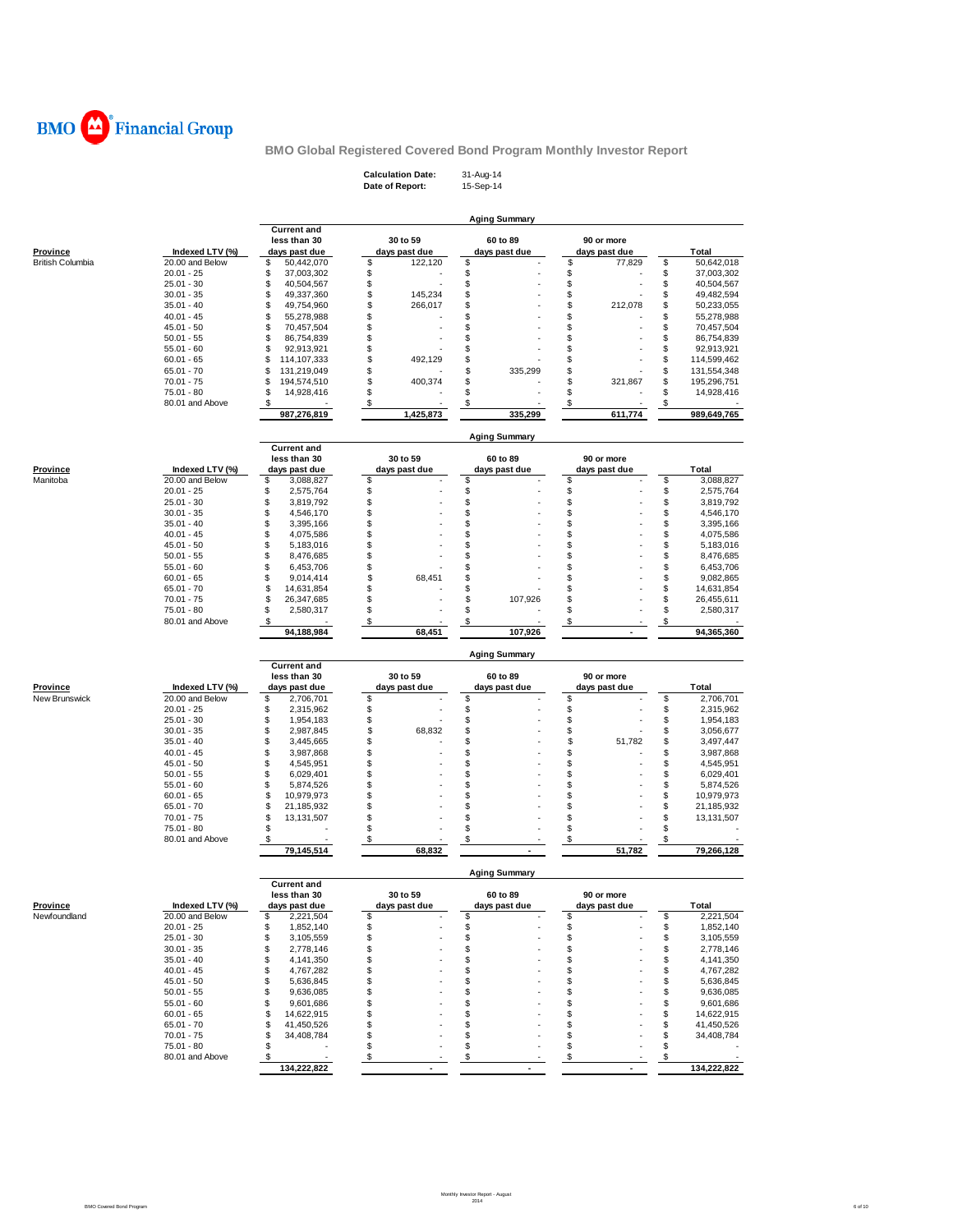

| <b>Calculation Date:</b> | 31-Aug-14 |
|--------------------------|-----------|
| Date of Report:          | 15-Sep-14 |

|                                 |                                    |                                    |                    | <b>Aging Summary</b> |               |                                    |
|---------------------------------|------------------------------------|------------------------------------|--------------------|----------------------|---------------|------------------------------------|
|                                 |                                    | <b>Current and</b>                 |                    |                      |               |                                    |
|                                 |                                    | less than 30                       | 30 to 59           | 60 to 89             | 90 or more    |                                    |
| <b>Province</b>                 | Indexed LTV (%)                    | days past due                      | days past due      | days past due        | days past due | <b>Total</b>                       |
| <b>British Columbia</b>         | 20.00 and Below                    | \$<br>50,442,070                   | \$<br>122,120      | \$                   | \$<br>77,829  | 50,642,018<br>\$                   |
|                                 | $20.01 - 25$                       | \$<br>37,003,302                   | \$                 | \$                   | \$            | \$<br>37,003,302                   |
|                                 | $25.01 - 30$                       | \$<br>40,504,567                   | \$                 | \$                   | \$            | \$<br>40,504,567                   |
|                                 | $30.01 - 35$                       | \$<br>49,337,360                   | \$<br>145,234      | \$                   | \$            | \$<br>49,482,594                   |
|                                 | $35.01 - 40$                       | \$<br>49,754,960                   | \$<br>266,017      | \$                   | \$<br>212,078 | \$<br>50,233,055                   |
|                                 | $40.01 - 45$                       | \$<br>55,278,988<br>\$             | \$<br>\$           | \$<br>\$             | \$<br>\$      | \$<br>55,278,988<br>\$             |
|                                 | $45.01 - 50$                       | 70,457,504<br>\$                   |                    |                      | \$            | 70,457,504<br>\$                   |
|                                 | $50.01 - 55$<br>$55.01 - 60$       | 86,754,839<br>\$<br>92,913,921     | \$<br>\$           | \$<br>\$             | \$            | 86,754,839<br>\$                   |
|                                 | $60.01 - 65$                       | \$<br>114,107,333                  | \$<br>492,129      | \$                   | \$            | 92,913,921<br>\$<br>114,599,462    |
|                                 | $65.01 - 70$                       | \$<br>131,219,049                  | \$                 | \$<br>335,299        | \$            | \$<br>131,554,348                  |
|                                 | $70.01 - 75$                       | \$<br>194,574,510                  | \$<br>400,374      | \$                   | \$<br>321,867 | \$<br>195,296,751                  |
|                                 | 75.01 - 80                         | 14,928,416<br>\$                   | \$                 | \$                   | \$            | \$<br>14,928,416                   |
|                                 | 80.01 and Above                    |                                    | \$                 | \$                   | \$            | \$                                 |
|                                 |                                    | 987,276,819                        | 1,425,873          | 335,299              | 611,774       | 989,649,765                        |
|                                 |                                    |                                    |                    |                      |               |                                    |
|                                 |                                    | <b>Current and</b>                 |                    | <b>Aging Summary</b> |               |                                    |
|                                 |                                    | less than 30                       | 30 to 59           | 60 to 89             | 90 or more    |                                    |
| Province                        | Indexed LTV (%)                    | days past due                      | days past due      | days past due        | days past due | <b>Total</b>                       |
| Manitoba                        | 20.00 and Below                    | \$<br>3,088,827                    | S                  | \$                   | \$            | \$<br>3,088,827                    |
|                                 | $20.01 - 25$                       | \$<br>2,575,764                    | \$                 |                      |               | \$<br>2,575,764                    |
|                                 | $25.01 - 30$                       | \$<br>3,819,792                    | \$                 | \$                   | န<br>န        | 3,819,792                          |
|                                 | $30.01 - 35$                       | \$<br>4,546,170                    | \$                 | \$                   | \$            | \$<br>4,546,170                    |
|                                 | $35.01 - 40$                       | \$<br>3,395,166                    | \$                 | \$                   | \$            | \$<br>3,395,166                    |
|                                 | $40.01 - 45$                       | \$<br>4,075,586                    | \$                 | \$                   | \$            | \$<br>4,075,586                    |
|                                 | $45.01 - 50$                       | \$<br>5,183,016                    | \$                 | \$                   | \$            | \$<br>5,183,016                    |
|                                 | $50.01 - 55$                       | \$<br>8,476,685                    | \$                 | \$                   | \$            | \$<br>8,476,685                    |
|                                 | $55.01 - 60$                       | \$<br>6,453,706                    | \$                 | \$                   | \$            | \$<br>6,453,706                    |
|                                 | $60.01 - 65$                       | \$<br>9,014,414                    | \$<br>68,451       | \$                   | \$            | \$<br>9,082,865                    |
|                                 | $65.01 - 70$                       | \$<br>14,631,854                   | \$                 | \$                   | \$            | \$<br>14,631,854                   |
|                                 | $70.01 - 75$                       | 26,347,685<br>\$                   | \$                 | \$<br>107,926        | \$            | \$<br>26,455,611                   |
|                                 | $75.01 - 80$<br>80.01 and Above    | \$<br>2,580,317                    | \$                 | \$                   | \$            | \$<br>2,580,317                    |
|                                 |                                    | S<br>94,188,984                    | \$<br>68,451       | \$<br>107,926        | \$            | \$<br>94,365,360                   |
|                                 |                                    |                                    |                    |                      |               |                                    |
|                                 |                                    | <b>Current and</b>                 |                    | <b>Aging Summary</b> |               |                                    |
|                                 |                                    | less than 30                       | 30 to 59           | 60 to 89             | 90 or more    |                                    |
| <u>Province</u>                 | Indexed LTV (%)                    | days past due                      | days past due      | days past due        | days past due | <b>Total</b>                       |
| New Brunswick                   | 20.00 and Below                    | \$<br>2,706,701                    | \$                 | \$                   | \$            | 2,706,701<br>\$                    |
|                                 | $20.01 - 25$                       | \$<br>2,315,962                    | \$                 | \$                   | \$            | \$<br>2,315,962                    |
|                                 | $25.01 - 30$<br>$30.01 - 35$       | \$<br>1,954,183<br>\$              | \$<br>\$<br>68,832 | \$<br>\$             | \$<br>\$      | \$<br>1,954,183<br>\$              |
|                                 | $35.01 - 40$                       | 2,987,845<br>\$<br>3,445,665       | \$                 | \$                   | \$<br>51,782  | 3,056,677<br>\$<br>3,497,447       |
|                                 | $40.01 - 45$                       | \$<br>3,987,868                    | S                  | \$                   | \$            | \$<br>3,987,868                    |
|                                 | $45.01 - 50$                       | \$<br>4,545,951                    | S                  | \$                   | \$            | \$<br>4,545,951                    |
|                                 | $50.01 - 55$                       | \$<br>6,029,401                    | S                  | \$                   | \$            | \$<br>6,029,401                    |
|                                 | $55.01 - 60$                       | \$<br>5,874,526                    | S                  | \$                   | \$            | \$<br>5,874,526                    |
|                                 | $60.01 - 65$                       | \$<br>10,979,973                   | \$                 | \$                   | \$            | \$<br>10,979,973                   |
|                                 | $65.01 - 70$                       | \$<br>21,185,932                   | S                  | \$                   | \$            | \$<br>21,185,932                   |
|                                 | $70.01 - 75$                       | \$<br>13,131,507                   | \$                 | \$                   | \$            | \$<br>13,131,507                   |
|                                 | 75.01 - 80                         | \$                                 | S                  | \$                   | \$            | \$                                 |
|                                 | 80.01 and Above                    | \$                                 |                    | \$                   | \$            |                                    |
|                                 |                                    | 79,145,514                         | 68,832             |                      | 51,782        | 79,266,128                         |
|                                 |                                    |                                    |                    | <b>Aging Summary</b> |               |                                    |
|                                 |                                    | Current and                        |                    |                      |               |                                    |
|                                 |                                    | less than 30                       | 30 to 59           | 60 to 89             | 90 or more    |                                    |
| <b>Province</b><br>Newfoundland | Indexed LTV (%)<br>20.00 and Below | days past due                      | days past due<br>S | days past due        | days past due | Total                              |
|                                 |                                    | \$<br>2,221,504                    |                    | \$                   | \$            | 2,221,504<br>\$                    |
|                                 | $20.01 - 25$<br>$25.01 - 30$       | \$<br>1,852,140<br>\$<br>3,105,559 | \$<br>\$           | \$<br>\$             | \$<br>\$      | \$<br>1,852,140<br>\$<br>3,105,559 |
|                                 | $30.01 - 35$                       | \$<br>2,778,146                    | \$                 | \$                   | \$            | \$<br>2,778,146                    |
|                                 | $35.01 - 40$                       | \$<br>4,141,350                    | \$                 | \$                   | \$            | \$<br>4,141,350                    |
|                                 | $40.01 - 45$                       | \$<br>4,767,282                    | \$                 | \$                   | \$            | \$<br>4,767,282                    |
|                                 | $45.01 - 50$                       | \$<br>5,636,845                    | \$                 | \$                   | \$            | \$<br>5,636,845                    |
|                                 | $50.01 - 55$                       | \$<br>9,636,085                    | \$                 | \$                   | \$            | \$<br>9,636,085                    |
|                                 | $55.01 - 60$                       | 9,601,686<br>\$                    | \$                 | \$                   | \$            | \$<br>9,601,686                    |
|                                 | $60.01 - 65$                       | \$<br>14,622,915                   |                    | \$                   | \$            | \$<br>14,622,915                   |

 **- 134,222,822 - - 134,222,822** 

65.01 - 70 \$ 41,450,526 \$ - \$ - \$ 41,450,526<br>70.01 - 75 \$ 34,408,784 \$ - \$ - \$ 34,408,784<br>75.01 - 80 \$ - \$ - \$ - \$ - \$ - \$ -<br>80.01 and Above \$ - \$ - \$ - \$ - \$ -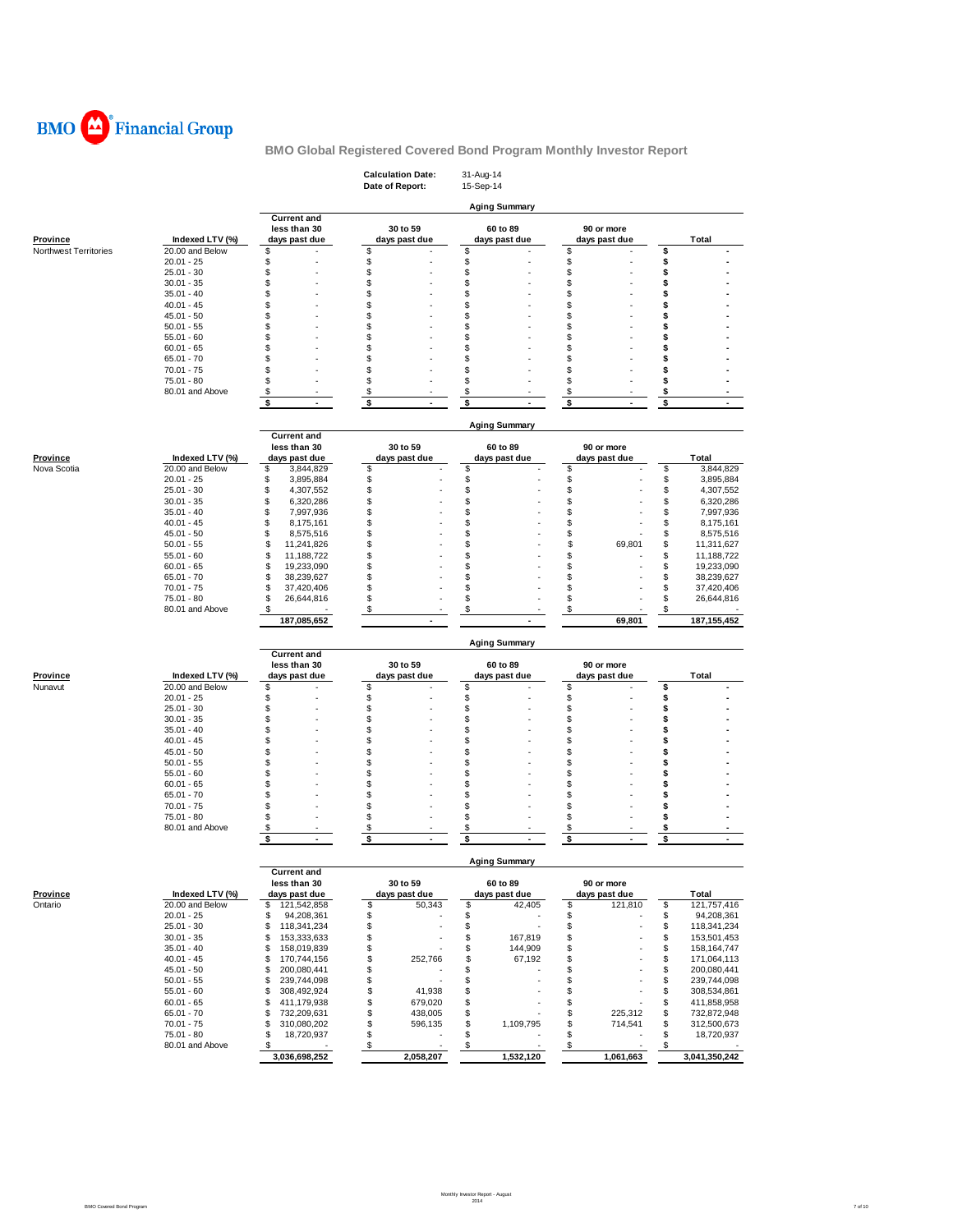

|                                          |                                    |                                       | <b>Calculation Date:</b><br>Date of Report: | 31-Aug-14<br>15-Sep-14         |                     |                                       |
|------------------------------------------|------------------------------------|---------------------------------------|---------------------------------------------|--------------------------------|---------------------|---------------------------------------|
|                                          |                                    |                                       |                                             | <b>Aging Summary</b>           |                     |                                       |
|                                          |                                    | <b>Current and</b>                    |                                             |                                |                     |                                       |
|                                          |                                    | less than 30                          | 30 to 59                                    | 60 to 89                       | 90 or more          |                                       |
| Province<br><b>Northwest Territories</b> | Indexed LTV (%)<br>20.00 and Below | days past due<br>\$                   | days past due<br>\$                         | days past due<br>\$            | days past due<br>\$ | <b>Total</b><br>\$                    |
|                                          | $20.01 - 25$                       | \$                                    | \$                                          | \$                             | \$                  | \$                                    |
|                                          | $25.01 - 30$                       | \$                                    | \$                                          | \$                             | \$                  | \$                                    |
|                                          | $30.01 - 35$                       | \$                                    | \$                                          | \$                             | \$                  | \$                                    |
|                                          | $35.01 - 40$                       | \$                                    | \$                                          | \$                             | \$                  | \$                                    |
|                                          | $40.01 - 45$                       | \$                                    | \$                                          | \$                             | \$                  | \$                                    |
|                                          | $45.01 - 50$                       | \$                                    | \$                                          | \$                             | \$                  | \$                                    |
|                                          | $50.01 - 55$                       | \$                                    | \$                                          | \$                             | \$                  | \$                                    |
|                                          | $55.01 - 60$                       | \$                                    | \$                                          | \$                             | \$                  | \$                                    |
|                                          | $60.01 - 65$                       | \$                                    | \$                                          | \$                             | \$                  | \$                                    |
|                                          | $65.01 - 70$                       | \$                                    | \$                                          | \$                             | \$                  | \$                                    |
|                                          | $70.01 - 75$                       | \$                                    | \$                                          | \$                             | \$                  | \$                                    |
|                                          | 75.01 - 80                         | \$                                    | \$                                          | \$                             | \$                  | \$                                    |
|                                          | 80.01 and Above                    | \$                                    | \$                                          | \$                             | \$                  | \$                                    |
|                                          |                                    | \$<br>ä,                              | \$<br>ä,                                    | \$<br>ä,                       | \$                  | \$                                    |
|                                          |                                    |                                       |                                             | <b>Aging Summary</b>           |                     |                                       |
|                                          |                                    | <b>Current and</b>                    |                                             |                                |                     |                                       |
|                                          |                                    | less than 30                          | 30 to 59                                    | 60 to 89                       | 90 or more          |                                       |
| <b>Province</b>                          | Indexed LTV (%)                    | days past due                         | days past due                               | days past due                  | days past due       | <b>Total</b>                          |
| Nova Scotia                              | 20.00 and Below                    | \$<br>3,844,829                       | \$                                          | \$                             | \$                  | \$<br>3,844,829                       |
|                                          | $20.01 - 25$                       | \$<br>3,895,884                       | \$                                          | \$                             | \$                  | \$<br>3,895,884                       |
|                                          | $25.01 - 30$                       | \$<br>4,307,552                       | \$                                          | \$                             | \$                  | \$<br>4,307,552                       |
|                                          | $30.01 - 35$                       | \$<br>6,320,286                       | \$                                          | \$                             | \$                  | \$<br>6,320,286                       |
|                                          | $35.01 - 40$<br>$40.01 - 45$       | \$<br>7,997,936<br>\$                 | \$                                          | \$<br>\$                       | \$<br>\$            | \$<br>7,997,936                       |
|                                          | $45.01 - 50$                       | 8,175,161<br>\$                       | \$<br>S                                     | \$                             | \$                  | \$<br>8,175,161<br>\$                 |
|                                          | $50.01 - 55$                       | 8,575,516<br>\$<br>11,241,826         | \$                                          | \$                             | \$<br>69,801        | 8,575,516<br>\$<br>11,311,627         |
|                                          | $55.01 - 60$                       | \$<br>11,188,722                      | \$                                          | \$                             | \$                  | \$<br>11,188,722                      |
|                                          | $60.01 - 65$                       | \$<br>19,233,090                      | S                                           | \$                             | \$                  | \$<br>19,233,090                      |
|                                          | $65.01 - 70$                       | \$<br>38,239,627                      | \$                                          | \$                             | \$                  | \$<br>38,239,627                      |
|                                          | $70.01 - 75$                       | \$<br>37,420,406                      | \$                                          | \$                             | \$                  | \$<br>37,420,406                      |
|                                          | $75.01 - 80$                       | \$<br>26,644,816                      | \$                                          | \$                             | \$                  | \$<br>26,644,816                      |
|                                          | 80.01 and Above                    | \$                                    | \$                                          | \$                             | \$                  | \$                                    |
|                                          |                                    | 187,085,652                           | $\overline{\phantom{a}}$                    | ÷                              | 69,801              | 187,155,452                           |
|                                          |                                    |                                       |                                             | <b>Aging Summary</b>           |                     |                                       |
|                                          |                                    | <b>Current and</b>                    |                                             |                                |                     |                                       |
|                                          |                                    | less than 30                          | 30 to 59                                    | 60 to 89                       | 90 or more          |                                       |
| Province                                 | Indexed LTV (%)                    | days past due                         | days past due                               | days past due                  | days past due       | <b>Total</b>                          |
| Nunavut                                  | 20.00 and Below                    | \$                                    | \$                                          | \$                             | \$                  | \$                                    |
|                                          | $20.01 - 25$                       | \$                                    | \$                                          | \$                             | \$                  | \$                                    |
|                                          | $25.01 - 30$                       | \$                                    | \$                                          | \$                             | \$                  | \$                                    |
|                                          | $30.01 - 35$                       | \$                                    | \$                                          | \$                             | \$                  | \$                                    |
|                                          | $35.01 - 40$                       | \$                                    | \$                                          | \$                             | \$                  | \$                                    |
|                                          | $40.01 - 45$                       | \$                                    | \$                                          | \$                             | \$                  | \$                                    |
|                                          | $45.01 - 50$                       | \$                                    | \$                                          | \$                             | \$                  | \$                                    |
|                                          | $50.01 - 55$                       | \$<br>\$                              | \$<br>\$                                    | \$<br>\$                       | \$<br>\$            | \$                                    |
|                                          | $55.01 - 60$                       | \$                                    | \$                                          | \$                             | \$                  | \$<br>\$                              |
|                                          | $60.01 - 65$<br>$65.01 - 70$       | \$                                    | \$                                          | \$                             | \$                  | \$                                    |
|                                          | $70.01 - 75$                       | \$                                    | \$                                          | \$                             | \$                  | \$                                    |
|                                          | 75.01 - 80                         | \$                                    | \$                                          | \$                             | \$                  | \$                                    |
|                                          | 80.01 and Above                    | \$                                    | \$                                          | \$                             | \$                  | \$                                    |
|                                          |                                    |                                       |                                             |                                |                     | \$<br>$\overline{a}$                  |
|                                          |                                    | \$<br>$\blacksquare$                  | \$<br>$\overline{\phantom{a}}$              | \$<br>$\overline{\phantom{a}}$ | \$                  |                                       |
|                                          |                                    |                                       |                                             |                                |                     |                                       |
|                                          |                                    | <b>Current and</b>                    |                                             | <b>Aging Summary</b>           |                     |                                       |
|                                          |                                    | less than 30                          | 30 to 59                                    | 60 to 89                       | 90 or more          |                                       |
| <b>Province</b>                          | Indexed LTV (%)                    | days past due                         | days past due                               | days past due                  | days past due       | Total                                 |
| Ontario                                  | 20.00 and Below                    | 121,542,858<br>\$                     | \$<br>50,343                                | \$<br>42,405                   | \$<br>121,810       | \$<br>121,757,416                     |
|                                          | $20.01 - 25$                       | \$<br>94,208,361                      | \$                                          | \$                             | \$                  | \$<br>94,208,361                      |
|                                          | $25.01 - 30$                       | \$<br>118,341,234                     | \$                                          | \$                             | \$                  | \$<br>118,341,234                     |
|                                          | $30.01 - 35$                       | \$<br>153,333,633                     | \$                                          | \$<br>167,819                  | \$                  | \$<br>153,501,453                     |
|                                          | $35.01 - 40$                       | \$<br>158,019,839                     | \$                                          | \$<br>144,909                  | \$                  | \$<br>158,164,747                     |
|                                          | $40.01 - 45$                       | \$<br>170,744,156                     | \$<br>252,766                               | \$<br>67,192                   | \$                  | \$<br>171,064,113                     |
|                                          | $45.01 - 50$                       | \$<br>200,080,441                     | \$                                          | \$                             | \$                  | \$<br>200,080,441                     |
|                                          | $50.01 - 55$                       | \$<br>239,744,098                     | \$                                          | \$                             | \$                  | \$<br>239,744,098                     |
|                                          | $55.01 - 60$                       | \$<br>308,492,924                     | \$<br>41,938                                | \$                             | \$                  | \$<br>308,534,861                     |
|                                          | $60.01 - 65$                       | \$<br>411,179,938                     | \$<br>679,020<br>438,005                    | \$                             | \$                  | \$<br>411,858,958                     |
|                                          | $65.01 - 70$                       | \$<br>732,209,631                     | \$                                          | \$                             | \$<br>225,312       | \$<br>732,872,948                     |
|                                          | $70.01 - 75$<br>75.01 - 80         | \$<br>310,080,202<br>\$<br>18,720,937 | \$<br>596,135<br>\$                         | \$<br>1,109,795<br>\$          | \$<br>714,541<br>\$ | \$<br>312,500,673<br>\$<br>18,720,937 |
|                                          | 80.01 and Above                    | \$                                    | \$                                          | \$                             | \$<br>1,061,663     | \$<br>3,041,350,242                   |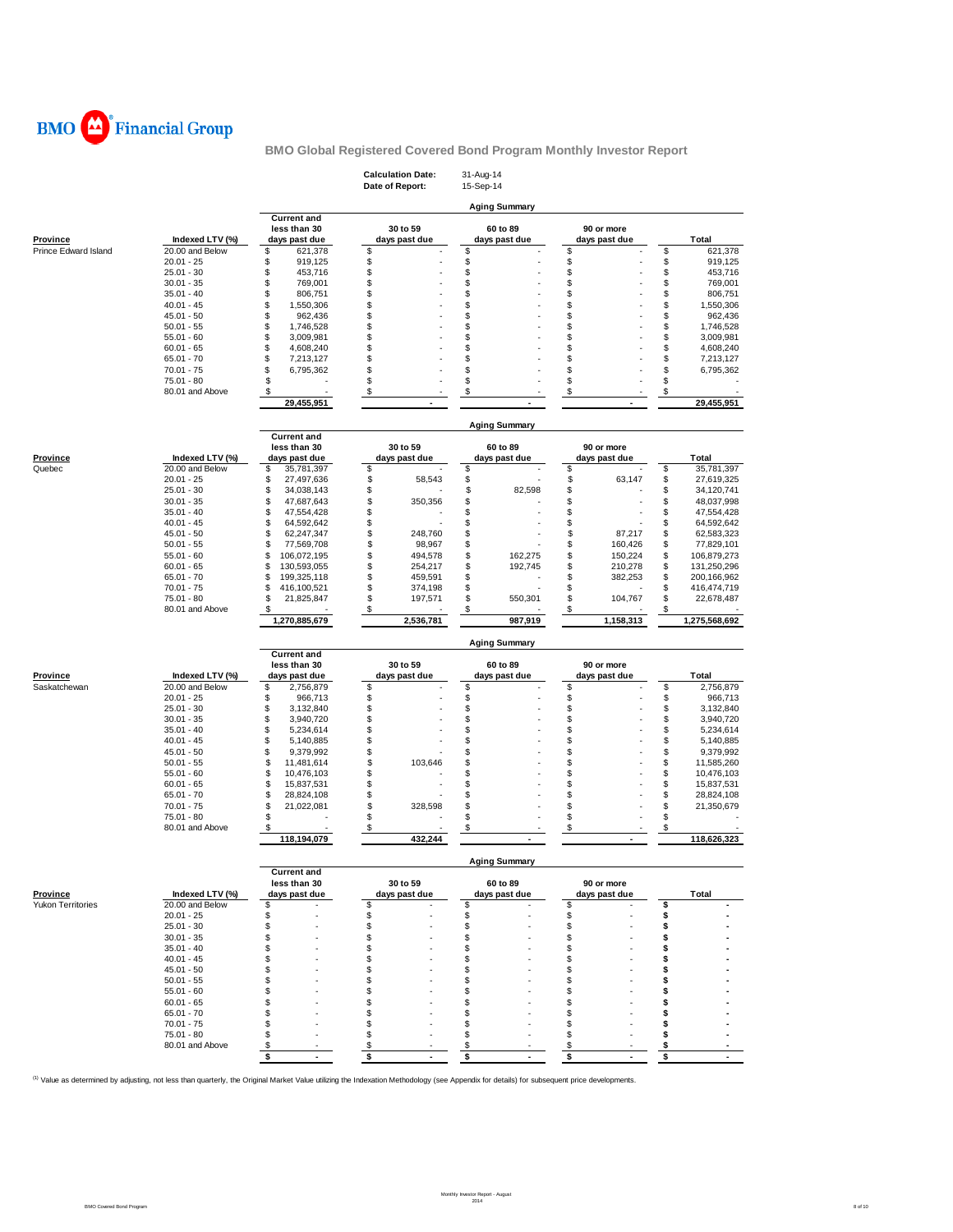

|                               |                 |                                    | <b>Calculation Date:</b><br>Date of Report: | 31-Aug-14<br>15-Sep-14         |                                |                   |
|-------------------------------|-----------------|------------------------------------|---------------------------------------------|--------------------------------|--------------------------------|-------------------|
|                               |                 |                                    |                                             | <b>Aging Summary</b>           |                                |                   |
|                               |                 | <b>Current and</b><br>less than 30 | 30 to 59                                    | 60 to 89                       | 90 or more                     |                   |
| <b>Province</b>               | Indexed LTV (%) | days past due                      | days past due                               | days past due                  | days past due                  | <b>Total</b>      |
| Prince Edward Island          | 20.00 and Below | \$<br>621,378                      | \$                                          | \$                             | \$                             | \$<br>621,378     |
|                               | $20.01 - 25$    | \$<br>919,125                      | \$                                          | \$                             | \$                             | \$<br>919,125     |
|                               | $25.01 - 30$    | \$<br>453,716                      | \$                                          | \$                             | \$                             | \$<br>453,716     |
|                               | $30.01 - 35$    | \$<br>769,001                      | \$                                          | \$                             | \$                             | \$<br>769,001     |
|                               | $35.01 - 40$    | \$<br>806,751                      | \$                                          | \$                             | \$                             | \$<br>806,751     |
|                               | $40.01 - 45$    | \$<br>1,550,306                    | \$                                          | \$                             | \$                             | \$<br>1,550,306   |
|                               | $45.01 - 50$    | \$<br>962,436                      | \$                                          | \$                             | \$                             | \$<br>962,436     |
|                               | $50.01 - 55$    | \$<br>1,746,528                    | \$                                          | \$                             | \$                             | \$<br>1,746,528   |
|                               | $55.01 - 60$    | \$<br>3,009,981                    | \$                                          | \$                             | \$                             | \$<br>3,009,981   |
|                               | $60.01 - 65$    | \$<br>4,608,240                    | \$                                          | \$                             | \$                             | \$<br>4,608,240   |
|                               | $65.01 - 70$    | \$<br>7,213,127                    | \$                                          | \$                             | \$                             | \$<br>7,213,127   |
|                               | $70.01 - 75$    | \$<br>6,795,362                    | \$                                          | \$                             | \$                             | \$<br>6,795,362   |
|                               | $75.01 - 80$    | \$                                 | \$                                          | \$                             | \$                             | \$                |
|                               |                 | \$                                 | \$                                          | \$                             |                                | \$                |
|                               | 80.01 and Above |                                    |                                             |                                | \$                             |                   |
|                               |                 | 29,455,951                         |                                             |                                |                                | 29,455,951        |
|                               |                 |                                    |                                             | <b>Aging Summary</b>           |                                |                   |
|                               |                 | <b>Current and</b>                 |                                             |                                |                                |                   |
|                               |                 | less than 30                       | 30 to 59                                    | 60 to 89                       | 90 or more                     |                   |
| <b>Province</b>               | Indexed LTV (%) | days past due                      | days past due                               | days past due                  | days past due                  | <b>Total</b>      |
| Quebec                        | 20.00 and Below | \$<br>35,781,397                   | \$                                          | \$                             | \$                             | \$<br>35,781,397  |
|                               | $20.01 - 25$    | \$<br>27,497,636                   | \$<br>58,543                                | \$                             | \$<br>63,147                   | \$<br>27,619,325  |
|                               | $25.01 - 30$    | \$<br>34,038,143                   | \$                                          | \$<br>82,598                   | \$                             | \$<br>34,120,741  |
|                               | $30.01 - 35$    | \$<br>47,687,643                   | \$<br>350,356                               | \$                             | \$                             | \$<br>48,037,998  |
|                               | $35.01 - 40$    | \$<br>47,554,428                   | \$                                          | \$                             | \$                             | \$<br>47,554,428  |
|                               | $40.01 - 45$    | \$<br>64,592,642                   | \$                                          | \$                             | \$                             | \$<br>64,592,642  |
|                               | $45.01 - 50$    | \$<br>62,247,347                   | \$<br>248,760                               | \$                             | \$<br>87,217                   | \$<br>62,583,323  |
|                               | $50.01 - 55$    | \$<br>77,569,708                   | \$<br>98,967                                | \$                             | \$<br>160,426                  | \$<br>77,829,101  |
|                               | $55.01 - 60$    | \$<br>106,072,195                  | \$<br>494,578                               | \$<br>162,275                  | \$<br>150,224                  | \$<br>106,879,273 |
|                               | $60.01 - 65$    | \$<br>130,593,055                  | \$<br>254,217                               | \$<br>192,745                  | \$<br>210,278                  | \$<br>131,250,296 |
|                               | $65.01 - 70$    | \$<br>199,325,118                  | \$<br>459,591                               | \$                             | \$<br>382,253                  | \$<br>200,166,962 |
|                               | $70.01 - 75$    | \$<br>416,100,521                  | \$<br>374,198                               | \$                             | \$                             | \$<br>416,474,719 |
|                               | $75.01 - 80$    | \$<br>21,825,847                   | \$<br>197,571                               | \$<br>550,301                  | \$<br>104,767                  | \$<br>22,678,487  |
|                               | 80.01 and Above | \$                                 | \$                                          | \$                             | \$                             | \$                |
|                               |                 | 1,270,885,679                      | 2,536,781                                   | 987,919                        | 1,158,313                      | 1,275,568,692     |
|                               |                 |                                    |                                             | <b>Aging Summary</b>           |                                |                   |
|                               |                 | <b>Current and</b>                 |                                             |                                |                                |                   |
| <b>Province</b>               | Indexed LTV (%) | less than 30                       | 30 to 59<br>days past due                   | 60 to 89<br>days past due      | 90 or more<br>days past due    | Total             |
| Saskatchewan                  | 20.00 and Below | days past due<br>\$<br>2,756,879   | \$                                          | \$                             | \$                             | \$<br>2,756,879   |
|                               | $20.01 - 25$    | \$<br>966,713                      | \$                                          | \$                             | \$                             | \$<br>966,713     |
|                               | $25.01 - 30$    | \$<br>3,132,840                    | \$                                          | \$                             | \$                             | \$<br>3,132,840   |
|                               | $30.01 - 35$    | \$<br>3,940,720                    | \$                                          | \$                             | \$                             | \$                |
|                               | $35.01 - 40$    | \$<br>5,234,614                    | \$                                          | \$                             | \$                             | 3,940,720         |
|                               |                 |                                    |                                             |                                |                                |                   |
|                               |                 |                                    |                                             |                                |                                | \$<br>5,234,614   |
|                               | $40.01 - 45$    | \$<br>5,140,885                    | \$                                          | \$                             | \$                             | \$<br>5,140,885   |
|                               | $45.01 - 50$    | \$<br>9,379,992                    | \$                                          | \$                             | \$                             | \$<br>9,379,992   |
|                               | $50.01 - 55$    | \$<br>11,481,614                   | \$<br>103,646                               | \$                             | \$                             | \$<br>11,585,260  |
|                               | $55.01 - 60$    | \$<br>10,476,103                   | \$                                          | \$                             | \$                             | \$<br>10,476,103  |
|                               | $60.01 - 65$    | \$<br>15,837,531                   | \$                                          | \$                             | \$                             | \$<br>15,837,531  |
|                               | $65.01 - 70$    | \$<br>28,824,108                   | \$                                          | \$                             | \$                             | \$<br>28,824,108  |
|                               | $70.01 - 75$    | \$<br>21,022,081                   | \$<br>328,598                               | \$                             | \$                             | \$<br>21,350,679  |
|                               | 75.01 - 80      | \$                                 | \$                                          | \$                             | \$                             | \$                |
|                               | 80.01 and Above | \$<br>118,194,079                  | \$<br>432,244                               | \$<br>$\overline{\phantom{a}}$ | \$<br>$\overline{\phantom{a}}$ | \$<br>118,626,323 |
|                               |                 |                                    |                                             |                                |                                |                   |
|                               |                 | <b>Current and</b>                 |                                             | <b>Aging Summary</b>           |                                |                   |
|                               |                 | less than 30                       | 30 to 59                                    | 60 to 89                       | 90 or more                     |                   |
|                               | Indexed LTV (%) | days past due                      | days past due                               | days past due                  | days past due                  | Total             |
|                               | 20.00 and Below | \$                                 | \$                                          | \$                             | \$                             | \$                |
|                               | $20.01 - 25$    | \$<br>٠                            | \$<br>ä,                                    | \$                             | \$                             | \$                |
|                               | $25.01 - 30$    | \$                                 | \$                                          | \$                             | \$                             | \$                |
|                               | $30.01 - 35$    | \$                                 | \$                                          | \$                             | \$                             | \$                |
|                               | $35.01 - 40$    | \$                                 | \$                                          | \$                             | \$                             | \$                |
|                               | $40.01 - 45$    | \$                                 | \$                                          | \$                             | S                              | S                 |
|                               | $45.01 - 50$    | \$                                 | \$                                          | \$                             | \$                             | \$                |
|                               | $50.01 - 55$    | \$                                 | \$                                          | \$                             | \$                             | S                 |
|                               | $55.01 - 60$    | \$                                 | \$                                          | \$                             | \$                             | S                 |
|                               | $60.01 - 65$    | \$                                 | \$                                          | \$                             | \$                             | S                 |
| Province<br>Yukon Territories | $65.01 - 70$    | \$                                 | \$                                          | \$                             | \$                             | S                 |
|                               | $70.01 - 75$    | \$                                 | \$                                          | \$                             | S.                             | S                 |
|                               | 75.01 - 80      | \$                                 | \$                                          | \$                             | \$                             | \$                |
|                               | 80.01 and Above | \$                                 | \$                                          | \$                             | \$                             | \$                |

<sup>(1)</sup> Value as determined by adjusting, not less than quarterly, the Original Market Value utilizing the Indexation Methodology (see Appendix for details) for subsequent price developments.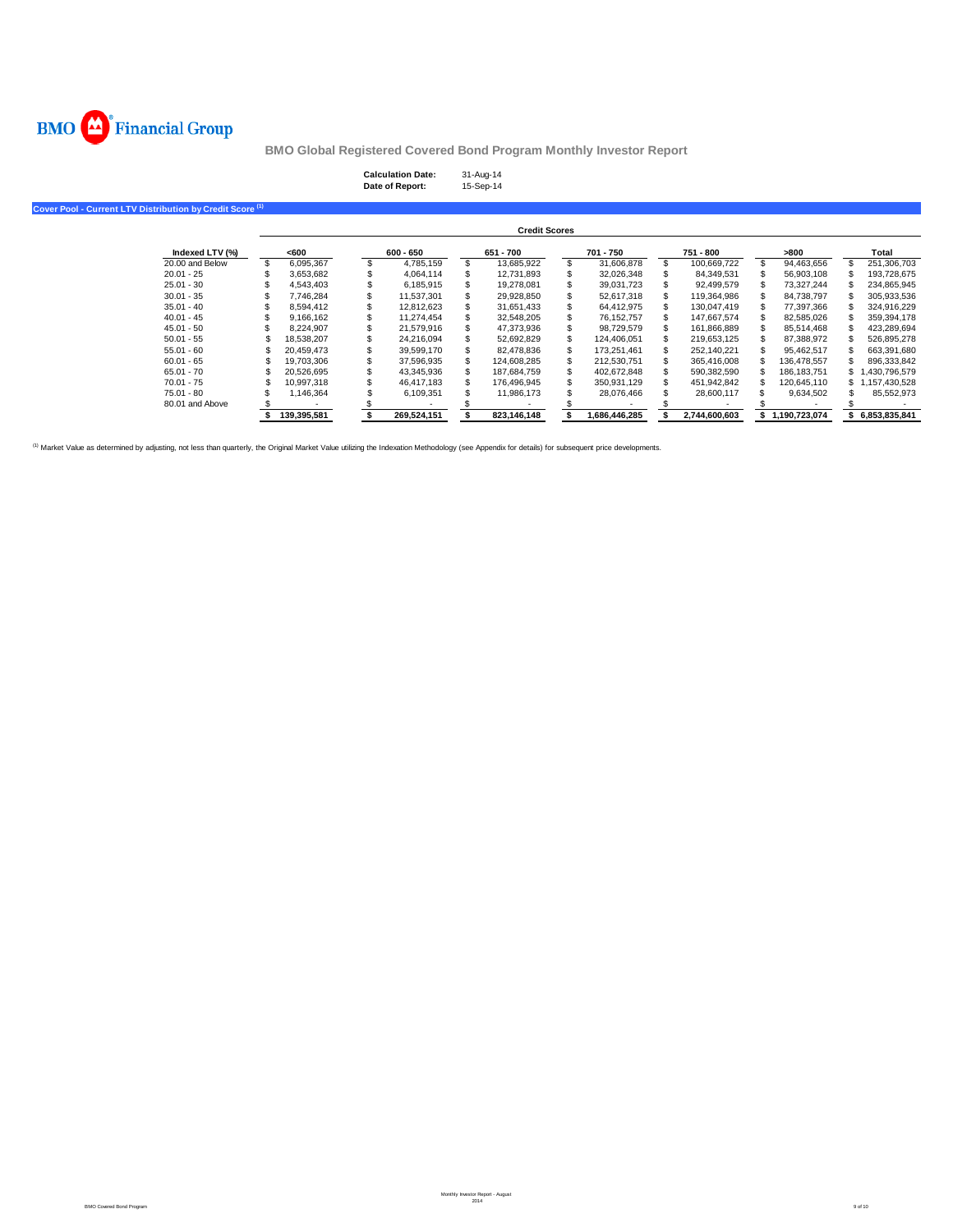

# **Calculation Date:** 31-Aug-14 **Date of Report:** 15-Sep-14

## **Cover Pool - Current LTV Distribution by Credit Score (1)**

| <b>Credit Scores</b> |  |             |  |             |    |             |    |               |  |               |                  |                 |
|----------------------|--|-------------|--|-------------|----|-------------|----|---------------|--|---------------|------------------|-----------------|
| Indexed LTV (%)      |  | <600        |  | $600 - 650$ |    | 651 - 700   |    | 701 - 750     |  | 751 - 800     | -800             | Total           |
| 20.00 and Below      |  | 6.095.367   |  | 4.785.159   | S. | 13.685.922  | S  | 31.606.878    |  | 100.669.722   | \$<br>94.463.656 | 251.306.703     |
| $20.01 - 25$         |  | 3.653.682   |  | 4.064.114   |    | 12,731,893  |    | 32.026.348    |  | 84.349.531    | 56.903.108       | 193.728.675     |
| $25.01 - 30$         |  | 4.543.403   |  | 6.185.915   |    | 19.278.081  |    | 39,031,723    |  | 92.499.579    | 73.327.244       | 234,865,945     |
| $30.01 - 35$         |  | 7.746.284   |  | 11.537.301  |    | 29.928.850  |    | 52.617.318    |  | 119.364.986   | 84.738.797       | 305.933.536     |
| $35.01 - 40$         |  | 8.594.412   |  | 12.812.623  |    | 31.651.433  |    | 64.412.975    |  | 130.047.419   | 77.397.366       | 324.916.229     |
| $40.01 - 45$         |  | 9.166.162   |  | 11.274.454  |    | 32.548.205  |    | 76.152.757    |  | 147.667.574   | 82.585.026       | 359.394.178     |
| $45.01 - 50$         |  | 8.224.907   |  | 21.579.916  |    | 47.373.936  |    | 98.729.579    |  | 161.866.889   | 85.514.468       | 423.289.694     |
| $50.01 - 55$         |  | 18.538.207  |  | 24.216.094  |    | 52.692.829  |    | 124.406.051   |  | 219.653.125   | 87.388.972       | 526.895.278     |
| $55.01 - 60$         |  | 20.459.473  |  | 39.599.170  |    | 82.478.836  | S  | 173.251.461   |  | 252.140.221   | 95.462.517       | 663.391.680     |
| $60.01 - 65$         |  | 19.703.306  |  | 37.596.935  | \$ | 124.608.285 | \$ | 212.530.751   |  | 365.416.008   | 136.478.557      | 896.333.842     |
| $65.01 - 70$         |  | 20.526.695  |  | 43.345.936  |    | 187.684.759 |    | 402.672.848   |  | 590.382.590   | 186.183.751      | \$1.430.796.579 |
| $70.01 - 75$         |  | 10.997.318  |  | 46.417.183  | S. | 176.496.945 | S  | 350.931.129   |  | 451.942.842   | 120.645.110      | \$1,157,430,528 |
| $75.01 - 80$         |  | 1.146.364   |  | 6,109,351   |    | 11.986.173  |    | 28.076.466    |  | 28.600.117    | 9,634,502        | 85,552,973      |
| 80.01 and Above      |  |             |  |             |    |             |    |               |  |               |                  |                 |
|                      |  | 139.395.581 |  | 269.524.151 |    | 823.146.148 |    | 1.686.446.285 |  | 2.744.600.603 | 1.190.723.074    | 6.853.835.841   |

<sup>(1)</sup> Market Value as determined by adjusting, not less than quarterly, the Original Market Value utilizing the Indexation Methodology (see Appendix for details) for subsequent price developments.